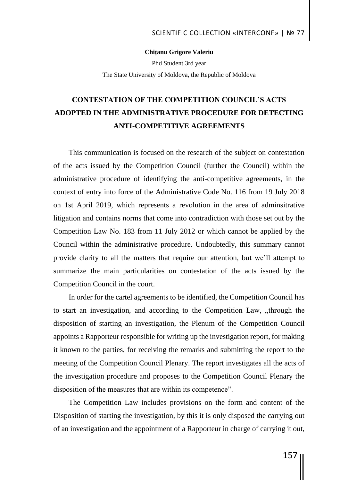## **Chițanu Grigore Valeriu**

Phd Student 3rd year The State University of Moldova, the Republic of Moldova

## **CONTESTATION OF THE COMPETITION COUNCIL'S ACTS ADOPTED IN THE ADMINISTRATIVE PROCEDURE FOR DETECTING ANTI-COMPETITIVE AGREEMENTS**

This communication is focused on the research of the subject on contestation of the acts issued by the Competition Council (further the Council) within the administrative procedure of identifying the anti-competitive agreements, in the context of entry into force of the Administrative Code No. 116 from 19 July 2018 on 1st April 2019, which represents a revolution in the area of adminsitrative litigation and contains norms that come into contradiction with those set out by the Competition Law No. 183 from 11 July 2012 or which cannot be applied by the Council within the administrative procedure. Undoubtedly, this summary cannot provide clarity to all the matters that require our attention, but we'll attempt to summarize the main particularities on contestation of the acts issued by the Competition Council in the court.

In order for the cartel agreements to be identified, the Competition Council has to start an investigation, and according to the Competition Law, "through the disposition of starting an investigation, the Plenum of the Competition Council appoints a Rapporteur responsible for writing up the investigation report, for making it known to the parties, for receiving the remarks and submitting the report to the meeting of the Competition Council Plenary. The report investigates all the acts of the investigation procedure and proposes to the Competition Council Plenary the disposition of the measures that are within its competence".

The Competition Law includes provisions on the form and content of the Disposition of starting the investigation, by this it is only disposed the carrying out of an investigation and the appointment of a Rapporteur in charge of carrying it out,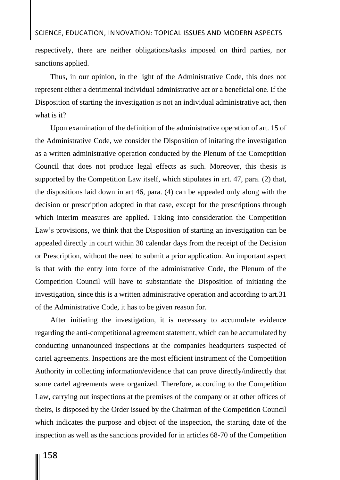respectively, there are neither obligations/tasks imposed on third parties, nor sanctions applied.

Thus, in our opinion, in the light of the Administrative Code, this does not represent either a detrimental individual administrative act or a beneficial one. If the Disposition of starting the investigation is not an individual administrative act, then what is it?

Upon examination of the definition of the administrative operation of art. 15 of the Administrative Code, we consider the Disposition of initating the investigation as a written administrative operation conducted by the Plenum of the Comeptition Council that does not produce legal effects as such. Moreover, this thesis is supported by the Competition Law itself, which stipulates in art. 47, para. (2) that, the dispositions laid down in art 46, para. (4) can be appealed only along with the decision or prescription adopted in that case, except for the prescriptions through which interim measures are applied. Taking into consideration the Competition Law's provisions, we think that the Disposition of starting an investigation can be appealed directly in court within 30 calendar days from the receipt of the Decision or Prescription, without the need to submit a prior application. An important aspect is that with the entry into force of the administrative Code, the Plenum of the Competition Council will have to substantiate the Disposition of initiating the investigation, since this is a written administrative operation and according to art.31 of the Administrative Code, it has to be given reason for.

After initiating the investigation, it is necessary to accumulate evidence regarding the anti-competitional agreement statement, which can be accumulated by conducting unnanounced inspections at the companies headqurters suspected of cartel agreements. Inspections are the most efficient instrument of the Competition Authority in collecting information/evidence that can prove directly/indirectly that some cartel agreements were organized. Therefore, according to the Competition Law, carrying out inspections at the premises of the company or at other offices of theirs, is disposed by the Order issued by the Chairman of the Competition Council which indicates the purpose and object of the inspection, the starting date of the inspection as well as the sanctions provided for in articles 68-70 of the Competition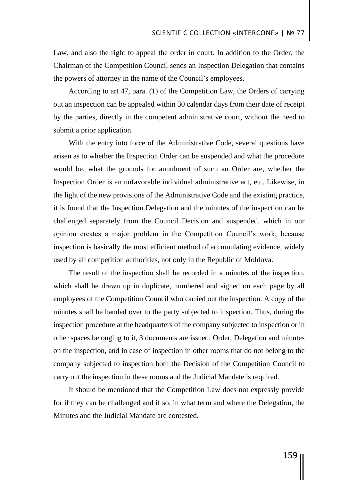Law, and also the right to appeal the order in court. In addition to the Order, the Chairman of the Competition Council sends an Inspection Delegation that contains the powers of attorney in the name of the Council's employees.

According to art 47, para. (1) of the Competition Law, the Orders of carrying out an inspection can be appealed within 30 calendar days from their date of receipt by the parties, directly in the competent administrative court, without the need to submit a prior application.

With the entry into force of the Administrative Code, several questions have arisen as to whether the Inspection Order can be suspended and what the procedure would be, what the grounds for annulment of such an Order are, whether the Inspection Order is an unfavorable individual administrative act, etc. Likewise, in the light of the new provisions of the Administrative Code and the existing practice, it is found that the Inspection Delegation and the minutes of the inspection can be challenged separately from the Council Decision and suspended, which in our opinion creates a major problem in the Competition Council's work, because inspection is basically the most efficient method of accumulating evidence, widely used by all competition authorities, not only in the Republic of Moldova.

The result of the inspection shall be recorded in a minutes of the inspection, which shall be drawn up in duplicate, numbered and signed on each page by all employees of the Competition Council who carried out the inspection. A copy of the minutes shall be handed over to the party subjected to inspection. Thus, during the inspection procedure at the headquarters of the company subjected to inspection or in other spaces belonging to it, 3 documents are issued: Order, Delegation and minutes on the inspection, and in case of inspection in other rooms that do not belong to the company subjected to inspection both the Decision of the Competition Council to carry out the inspection in these rooms and the Judicial Mandate is required.

It should be mentioned that the Competition Law does not expressly provide for if they can be challenged and if so, in what term and where the Delegation, the Minutes and the Judicial Mandate are contested.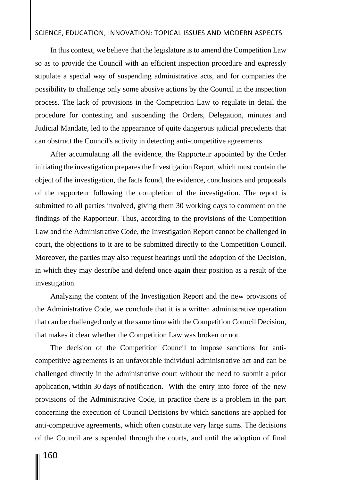## SCIENCE, EDUCATION, INNOVATION: TOPICAL ISSUES AND MODERN ASPECTS

In this context, we believe that the legislature is to amend the Competition Law so as to provide the Council with an efficient inspection procedure and expressly stipulate a special way of suspending administrative acts, and for companies the possibility to challenge only some abusive actions by the Council in the inspection process. The lack of provisions in the Competition Law to regulate in detail the procedure for contesting and suspending the Orders, Delegation, minutes and Judicial Mandate, led to the appearance of quite dangerous judicial precedents that can obstruct the Council's activity in detecting anti-competitive agreements.

After accumulating all the evidence, the Rapporteur appointed by the Order initiating the investigation prepares the Investigation Report, which must contain the object of the investigation, the facts found, the evidence, conclusions and proposals of the rapporteur following the completion of the investigation. The report is submitted to all parties involved, giving them 30 working days to comment on the findings of the Rapporteur. Thus, according to the provisions of the Competition Law and the Administrative Code, the Investigation Report cannot be challenged in court, the objections to it are to be submitted directly to the Competition Council. Moreover, the parties may also request hearings until the adoption of the Decision, in which they may describe and defend once again their position as a result of the investigation.

Analyzing the content of the Investigation Report and the new provisions of the Administrative Code, we conclude that it is a written administrative operation that can be challenged only at the same time with the Competition Council Decision, that makes it clear whether the Competition Law was broken or not.

The decision of the Competition Council to impose sanctions for anticompetitive agreements is an unfavorable individual administrative act and can be challenged directly in the administrative court without the need to submit a prior application, within 30 days of notification. With the entry into force of the new provisions of the Administrative Code, in practice there is a problem in the part concerning the execution of Council Decisions by which sanctions are applied for anti-competitive agreements, which often constitute very large sums. The decisions of the Council are suspended through the courts, and until the adoption of final